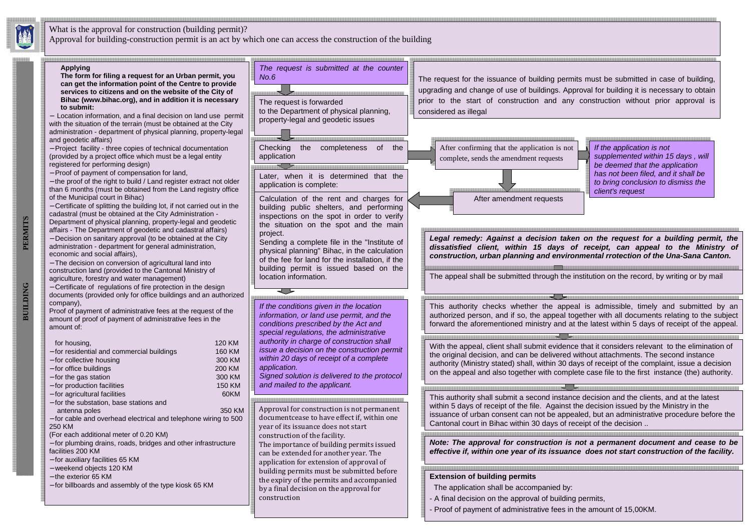

**BUILDING PERMITS**

**BUILDING** 

PERMITS